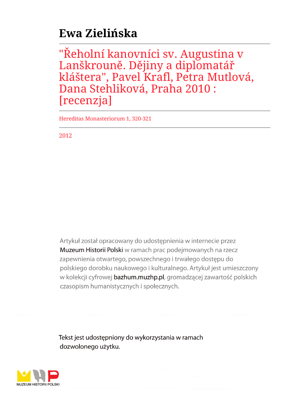## **Ewa Zielińska**

"Reholní kanovníci sv. Augustina v Lanškrouně. Dějiny a diplomatář kláštera", Pavel Krafl, Petra Mutlová, Dana Stehliková, Praha 2010 : [recenzja]

Hereditas Monasteriorum 1, 320-321

2012

Artykuł został opracowany do udostępnienia w internecie przez Muzeum Historii Polski w ramach prac podejmowanych na rzecz zapewnienia otwartego, powszechnego i trwałego dostępu do polskiego dorobku naukowego i kulturalnego. Artykuł jest umieszczony w kolekcji cyfrowej bazhum.muzhp.pl, gromadzącej zawartość polskich czasopism humanistycznych i społecznych.

Tekst jest udostępniony do wykorzystania w ramach dozwolonego użytku.

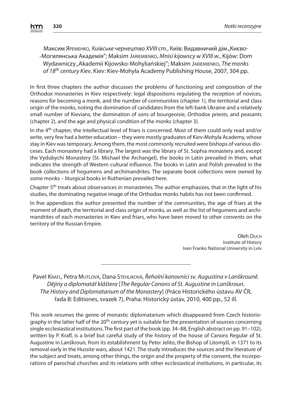Максим Ярємєнко, *Київське чернецтво XVIII ст.,* Київ: Видавничий дім "Києво--Могилянська Академія"; Maksim JARIEMIENKO, Mnisi kijowscy w XVIII w., Kijów: Dom Wydawniczy "Akademii Kijowsko-Mohyljańskiej": Maksim JARIEMIENKO, The monks of 18<sup>th</sup> century Kiev, Kiev: Kiev-Mohyla Academy Publishing House, 2007, 304 pp.

In first three chapters the author discusses the problems of functioning and composition of the Orthodox monasteries in Kiev respectively: legal dispositions regulating the reception of novices, reasons for becoming a monk, and the number of communities (chapter 1), the territorial and class origin of the monks, noting the domination of candidates from the left-bank Ukraine and a relatively small number of Kievians, the domination of sons of bourgeoisie, Orthodox priests, and peasants (chapter 2), and the age and physical condition of the monks (chapter 3).

In the 4<sup>th</sup> chapter, the intellectual level of friars is concerned. Most of them could only read and/or write, very few had a better education – they were mostly graduates of Kiev-Mohyla Academy, whose stay in Kiev was temporary. Among them, the most commonly recruited were bishops of various dioceses. Each monastery had a library. The largest was the library of St. Sophia monastery and, except the Vydubychi Monastery (St. Michael the Archangel), the books in Latin prevailed in them, what indicates the strength of Western cultural influence. The books in Latin and Polish prevailed in the book collections of hegumens and archimandrites. The separate book collections were owned by some monks – liturgical books in Ruthenian prevailed here.

Chapter 5<sup>th</sup> treats about observances in monasteries. The author emphasizes, that in the light of his studies, the dominating negative image of the Orthodox monks habits has not been confirmed.

In five appendices the author presented the number of the communities, the age of friars at the moment of death, the territorial and class origin of monks, as well as the list of hegumens and archimandrites of each monasteries in Kiev and friars, who have been moved to other convents on the territory of the Russian Empire.

> Ołeh DUCH Institute of History Ivan Franko National University in Lviv

Pavel KRAFL, Petra MUTLOVÁ, Dana STEHLIKOVÁ, Řeholní kanovníci sv. Augustina v Lanškrouně. Dějiny a diplomatář kláštera [The Regular Canons of St. Augustine in Lanškroun. The History and Diplomatarium of the Monastery] (Práce Historického ústavu AV ČR, řada B: Editiones, svazek 7), Praha: Historický ústav, 2010, 400 pp., 52 ill.

This work resumes the genre of monastic diplomatarium which disappeared from Czech historiography in the latter half of the 20<sup>th</sup> century yet is suitable for the presentation of sources concerning single ecclesiastical institutions. The first part of the book (pp. 34–88, English abstract on pp. 91–102), written by P. Krafl, is a brief but careful study of the history of the house of Canons Regular of St. Augustine in Lanškroun, from its establishment by Peter Jelito, the Bishop of Litomyšl, in 1371 to its removal early in the Hussite wars, about 1421. The study introduces the sources and the literature of the subject and treats, among other things, the origin and the property of the convent, the incorporations of parochial churches and its relations with other ecclesiastical institutions, in particular, its